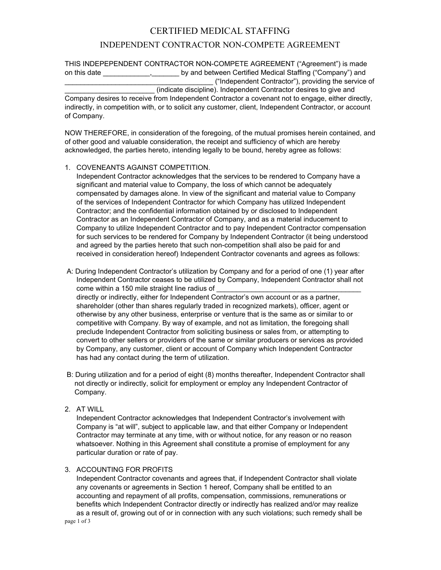# CERTIFIED MEDICAL STAFFING

## INDEPENDENT CONTRACTOR NON-COMPETE AGREEMENT

THIS INDEPEPENDENT CONTRACTOR NON-COMPETE AGREEMENT ("Agreement") is made on this date \_\_\_\_\_\_\_\_\_\_\_\_\_\_, \_\_\_\_\_\_\_\_ by and between Certified Medical Staffing ("Company") and \_\_\_\_\_\_\_\_\_\_\_\_\_\_\_\_\_\_\_\_\_\_\_\_\_\_\_\_\_\_\_\_\_\_\_\_\_\_ ("Independent Contractor"), providing the service of \_\_\_\_\_\_\_\_\_\_\_\_\_\_\_\_\_\_\_\_\_\_\_ (indicate discipline). Independent Contractor desires to give and

Company desires to receive from Independent Contractor a covenant not to engage, either directly, indirectly, in competition with, or to solicit any customer, client, Independent Contractor, or account of Company.

NOW THEREFORE, in consideration of the foregoing, of the mutual promises herein contained, and of other good and valuable consideration, the receipt and sufficiency of which are hereby acknowledged, the parties hereto, intending legally to be bound, hereby agree as follows:

## 1. COVENEANTS AGAINST COMPETITION.

 Independent Contractor acknowledges that the services to be rendered to Company have a significant and material value to Company, the loss of which cannot be adequately compensated by damages alone. In view of the significant and material value to Company of the services of Independent Contractor for which Company has utilized Independent Contractor; and the confidential information obtained by or disclosed to Independent Contractor as an Independent Contractor of Company, and as a material inducement to Company to utilize Independent Contractor and to pay Independent Contractor compensation for such services to be rendered for Company by Independent Contractor (it being understood and agreed by the parties hereto that such non-competition shall also be paid for and received in consideration hereof) Independent Contractor covenants and agrees as follows:

 A: During Independent Contractor's utilization by Company and for a period of one (1) year after Independent Contractor ceases to be utilized by Company, Independent Contractor shall not come within a 150 mile straight line radius of

 directly or indirectly, either for Independent Contractor's own account or as a partner, shareholder (other than shares regularly traded in recognized markets), officer, agent or otherwise by any other business, enterprise or venture that is the same as or similar to or competitive with Company. By way of example, and not as limitation, the foregoing shall preclude Independent Contractor from soliciting business or sales from, or attempting to convert to other sellers or providers of the same or similar producers or services as provided by Company, any customer, client or account of Company which Independent Contractor has had any contact during the term of utilization.

- B: During utilization and for a period of eight (8) months thereafter, Independent Contractor shall not directly or indirectly, solicit for employment or employ any Independent Contractor of Company.
- 2. AT WILL

 Independent Contractor acknowledges that Independent Contractor's involvement with Company is "at will", subject to applicable law, and that either Company or Independent Contractor may terminate at any time, with or without notice, for any reason or no reason whatsoever. Nothing in this Agreement shall constitute a promise of employment for any particular duration or rate of pay.

#### 3. ACCOUNTING FOR PROFITS

 Independent Contractor covenants and agrees that, if Independent Contractor shall violate any covenants or agreements in Section 1 hereof, Company shall be entitled to an accounting and repayment of all profits, compensation, commissions, remunerations or benefits which Independent Contractor directly or indirectly has realized and/or may realize as a result of, growing out of or in connection with any such violations; such remedy shall be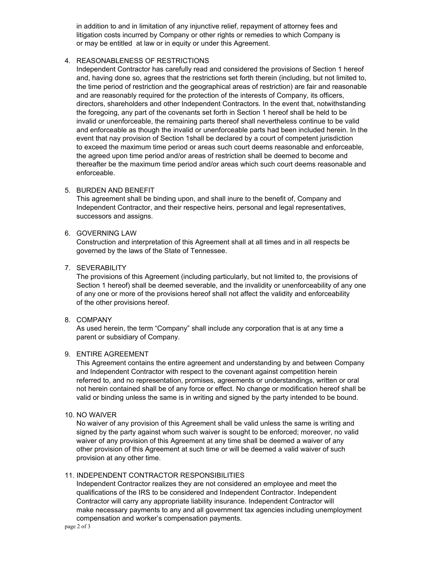in addition to and in limitation of any injunctive relief, repayment of attorney fees and litigation costs incurred by Company or other rights or remedies to which Company is or may be entitled at law or in equity or under this Agreement.

## 4. REASONABLENESS OF RESTRICTIONS

 Independent Contractor has carefully read and considered the provisions of Section 1 hereof and, having done so, agrees that the restrictions set forth therein (including, but not limited to, the time period of restriction and the geographical areas of restriction) are fair and reasonable and are reasonably required for the protection of the interests of Company, its officers, directors, shareholders and other Independent Contractors. In the event that, notwithstanding the foregoing, any part of the covenants set forth in Section 1 hereof shall be held to be invalid or unenforceable, the remaining parts thereof shall nevertheless continue to be valid and enforceable as though the invalid or unenforceable parts had been included herein. In the event that nay provision of Section 1shall be declared by a court of competent jurisdiction to exceed the maximum time period or areas such court deems reasonable and enforceable, the agreed upon time period and/or areas of restriction shall be deemed to become and thereafter be the maximum time period and/or areas which such court deems reasonable and enforceable.

## 5. BURDEN AND BENEFIT

 This agreement shall be binding upon, and shall inure to the benefit of, Company and Independent Contractor, and their respective heirs, personal and legal representatives, successors and assigns.

## 6. GOVERNING LAW

 Construction and interpretation of this Agreement shall at all times and in all respects be governed by the laws of the State of Tennessee.

## 7. SEVERABILITY

 The provisions of this Agreement (including particularly, but not limited to, the provisions of Section 1 hereof) shall be deemed severable, and the invalidity or unenforceability of any one of any one or more of the provisions hereof shall not affect the validity and enforceability of the other provisions hereof.

## 8. COMPANY

 As used herein, the term "Company" shall include any corporation that is at any time a parent or subsidiary of Company.

#### 9. ENTIRE AGREEMENT

 This Agreement contains the entire agreement and understanding by and between Company and Independent Contractor with respect to the covenant against competition herein referred to, and no representation, promises, agreements or understandings, written or oral not herein contained shall be of any force or effect. No change or modification hereof shall be valid or binding unless the same is in writing and signed by the party intended to be bound.

#### 10. NO WAIVER

 No waiver of any provision of this Agreement shall be valid unless the same is writing and signed by the party against whom such waiver is sought to be enforced; moreover, no valid waiver of any provision of this Agreement at any time shall be deemed a waiver of any other provision of this Agreement at such time or will be deemed a valid waiver of such provision at any other time.

## 11. INDEPENDENT CONTRACTOR RESPONSIBILITIES

 Independent Contractor realizes they are not considered an employee and meet the qualifications of the IRS to be considered and Independent Contractor. Independent Contractor will carry any appropriate liability insurance. Independent Contractor will make necessary payments to any and all government tax agencies including unemployment compensation and worker's compensation payments.